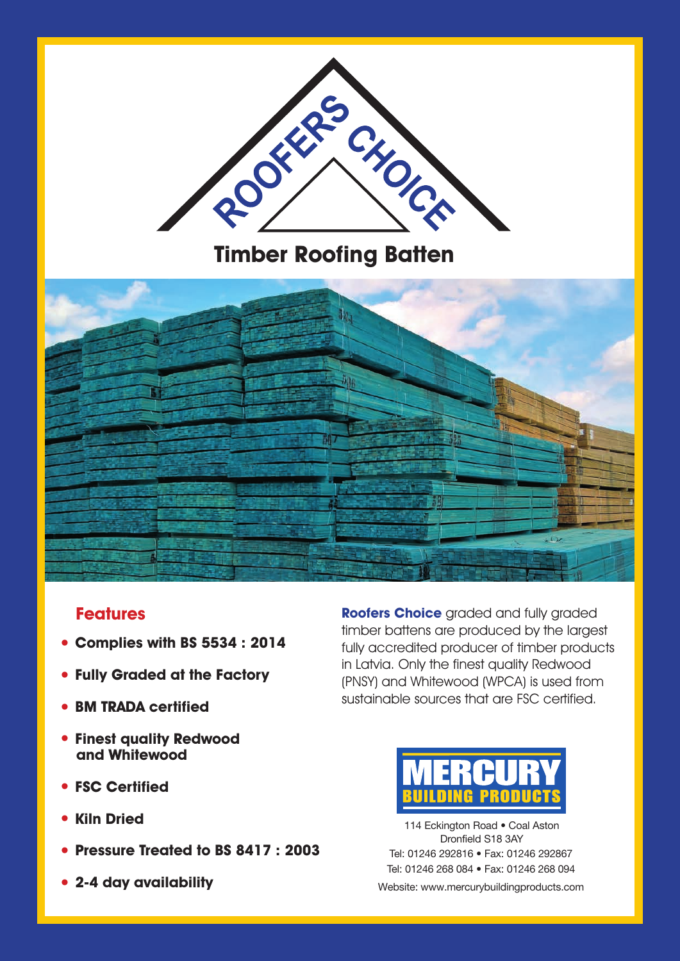

**Timber Roofing Batten**



## **Features**

- **• Complies with BS 5534 : 2014**
- **• Fully Graded at the Factory**
- **• BM TRADA certified**
- **• Finest quality Redwood and Whitewood**
- **• FSC Certified**
- **• Kiln Dried**
- **• Pressure Treated to BS 8417 : 2003**
- **• 2-4 day availability**

**Roofers Choice** graded and fully graded timber battens are produced by the largest fully accredited producer of timber products in Latvia. Only the finest quality Redwood (PNSY) and Whitewood (WPCA) is used from sustainable sources that are FSC certified.



114 Eckington Road . Coal Aston Dronfield S18 3AY Tel: 01246 292816 • Fax: 01246 292867 Tel: 01246 268 084 • Fax: 01246 268 094 Website: www.mercurybuildingproducts.com